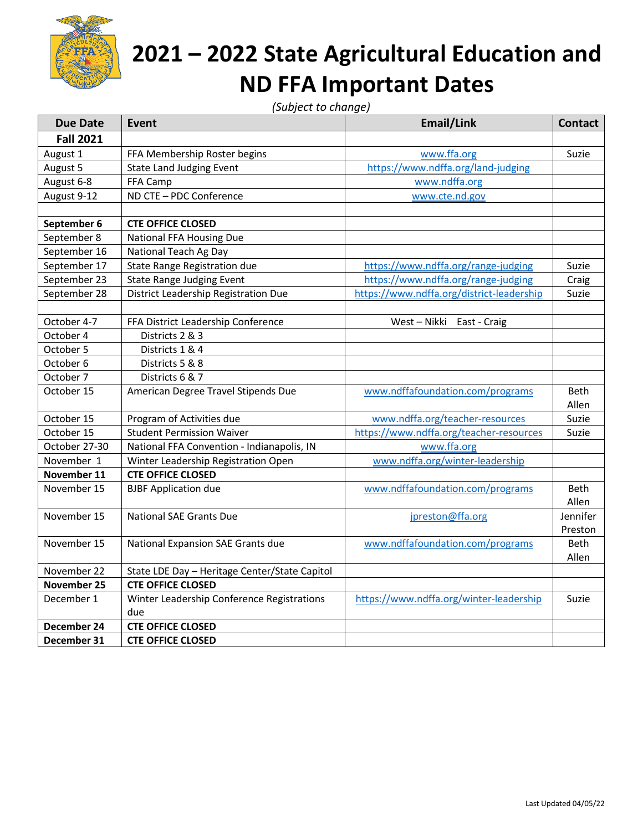

## **2021 – 2022 State Agricultural Education and ND FFA Important Dates**

*(Subject to change)*

| <b>Due Date</b>    | <b>Event</b>                                  | Email/Link                                | <b>Contact</b> |
|--------------------|-----------------------------------------------|-------------------------------------------|----------------|
| <b>Fall 2021</b>   |                                               |                                           |                |
| August 1           | FFA Membership Roster begins                  | www.ffa.org                               | Suzie          |
| August 5           | <b>State Land Judging Event</b>               | https://www.ndffa.org/land-judging        |                |
| August 6-8         | FFA Camp                                      | www.ndffa.org                             |                |
| August 9-12        | ND CTE - PDC Conference                       | www.cte.nd.gov                            |                |
|                    |                                               |                                           |                |
| September 6        | <b>CTE OFFICE CLOSED</b>                      |                                           |                |
| September 8        | National FFA Housing Due                      |                                           |                |
| September 16       | National Teach Ag Day                         |                                           |                |
| September 17       | State Range Registration due                  | https://www.ndffa.org/range-judging       | Suzie          |
| September 23       | <b>State Range Judging Event</b>              | https://www.ndffa.org/range-judging       | Craig          |
| September 28       | District Leadership Registration Due          | https://www.ndffa.org/district-leadership | Suzie          |
|                    |                                               |                                           |                |
| October 4-7        | FFA District Leadership Conference            | West-Nikki East-Craig                     |                |
| October 4          | Districts 2 & 3                               |                                           |                |
| October 5          | Districts 1 & 4                               |                                           |                |
| October 6          | Districts 5 & 8                               |                                           |                |
| October 7          | Districts 6 & 7                               |                                           |                |
| October 15         | American Degree Travel Stipends Due           | www.ndffafoundation.com/programs          | Beth           |
|                    |                                               |                                           | Allen          |
| October 15         | Program of Activities due                     | www.ndffa.org/teacher-resources           | Suzie          |
| October 15         | <b>Student Permission Waiver</b>              | https://www.ndffa.org/teacher-resources   | Suzie          |
| October 27-30      | National FFA Convention - Indianapolis, IN    | www.ffa.org                               |                |
| November 1         | Winter Leadership Registration Open           | www.ndffa.org/winter-leadership           |                |
| November 11        | <b>CTE OFFICE CLOSED</b>                      |                                           |                |
| November 15        | <b>BJBF Application due</b>                   | www.ndffafoundation.com/programs          | Beth           |
|                    |                                               |                                           | Allen          |
| November 15        | <b>National SAE Grants Due</b>                | jpreston@ffa.org                          | Jennifer       |
|                    |                                               |                                           | Preston        |
| November 15        | National Expansion SAE Grants due             | www.ndffafoundation.com/programs          | <b>Beth</b>    |
|                    |                                               |                                           | Allen          |
| November 22        | State LDE Day - Heritage Center/State Capitol |                                           |                |
| <b>November 25</b> | <b>CTE OFFICE CLOSED</b>                      |                                           |                |
| December 1         | Winter Leadership Conference Registrations    | https://www.ndffa.org/winter-leadership   | Suzie          |
|                    | due                                           |                                           |                |
| December 24        | <b>CTE OFFICE CLOSED</b>                      |                                           |                |
| December 31        | <b>CTE OFFICE CLOSED</b>                      |                                           |                |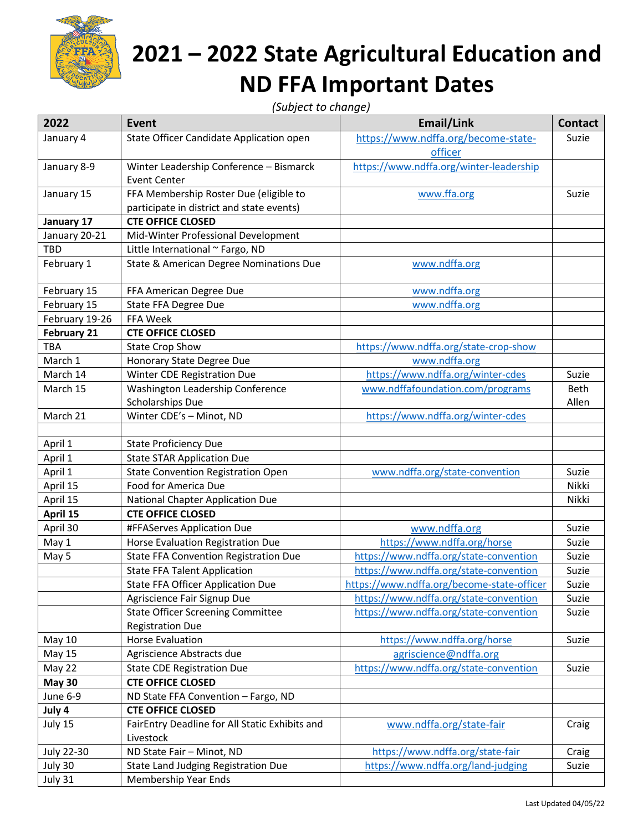

## **2021 – 2022 State Agricultural Education and ND FFA Important Dates**

*(Subject to change)*

| 2022               | <b>Event</b>                                   | Email/Link                                 | <b>Contact</b> |
|--------------------|------------------------------------------------|--------------------------------------------|----------------|
| January 4          | State Officer Candidate Application open       | https://www.ndffa.org/become-state-        | Suzie          |
|                    |                                                | officer                                    |                |
| January 8-9        | Winter Leadership Conference - Bismarck        | https://www.ndffa.org/winter-leadership    |                |
|                    | <b>Event Center</b>                            |                                            |                |
| January 15         | FFA Membership Roster Due (eligible to         | www.ffa.org                                | Suzie          |
|                    | participate in district and state events)      |                                            |                |
| January 17         | <b>CTE OFFICE CLOSED</b>                       |                                            |                |
| January 20-21      | Mid-Winter Professional Development            |                                            |                |
| TBD                | Little International ~ Fargo, ND               |                                            |                |
| February 1         | State & American Degree Nominations Due        | www.ndffa.org                              |                |
| February 15        | FFA American Degree Due                        | www.ndffa.org                              |                |
| February 15        | State FFA Degree Due                           | www.ndffa.org                              |                |
| February 19-26     | FFA Week                                       |                                            |                |
| <b>February 21</b> | <b>CTE OFFICE CLOSED</b>                       |                                            |                |
| <b>TBA</b>         | <b>State Crop Show</b>                         | https://www.ndffa.org/state-crop-show      |                |
| March 1            | Honorary State Degree Due                      | www.ndffa.org                              |                |
| March 14           | Winter CDE Registration Due                    | https://www.ndffa.org/winter-cdes          | Suzie          |
| March 15           | Washington Leadership Conference               | www.ndffafoundation.com/programs           | Beth           |
|                    | Scholarships Due                               |                                            | Allen          |
| March 21           | Winter CDE's - Minot, ND                       | https://www.ndffa.org/winter-cdes          |                |
|                    |                                                |                                            |                |
| April 1            | <b>State Proficiency Due</b>                   |                                            |                |
| April 1            | <b>State STAR Application Due</b>              |                                            |                |
| April 1            | <b>State Convention Registration Open</b>      | www.ndffa.org/state-convention             | Suzie          |
| April 15           | Food for America Due                           |                                            | Nikki          |
| April 15           | National Chapter Application Due               |                                            | Nikki          |
| April 15           | <b>CTE OFFICE CLOSED</b>                       |                                            |                |
| April 30           | #FFAServes Application Due                     | www.ndffa.org                              | Suzie          |
| May 1              | Horse Evaluation Registration Due              | https://www.ndffa.org/horse                | Suzie          |
| May 5              | <b>State FFA Convention Registration Due</b>   | https://www.ndffa.org/state-convention     | Suzie          |
|                    | <b>State FFA Talent Application</b>            | https://www.ndffa.org/state-convention     | Suzie          |
|                    | State FFA Officer Application Due              | https://www.ndffa.org/become-state-officer | Suzie          |
|                    | Agriscience Fair Signup Due                    | https://www.ndffa.org/state-convention     | Suzie          |
|                    | <b>State Officer Screening Committee</b>       | https://www.ndffa.org/state-convention     | Suzie          |
|                    | <b>Registration Due</b>                        |                                            |                |
| <b>May 10</b>      | <b>Horse Evaluation</b>                        | https://www.ndffa.org/horse                | Suzie          |
| May 15             | Agriscience Abstracts due                      | agriscience@ndffa.org                      |                |
| May 22             | <b>State CDE Registration Due</b>              | https://www.ndffa.org/state-convention     | Suzie          |
| <b>May 30</b>      | <b>CTE OFFICE CLOSED</b>                       |                                            |                |
| June 6-9           | ND State FFA Convention - Fargo, ND            |                                            |                |
| July 4             | <b>CTE OFFICE CLOSED</b>                       |                                            |                |
| July 15            | FairEntry Deadline for All Static Exhibits and | www.ndffa.org/state-fair                   | Craig          |
|                    | Livestock                                      |                                            |                |
| July 22-30         | ND State Fair - Minot, ND                      | https://www.ndffa.org/state-fair           | Craig          |
| July 30            | State Land Judging Registration Due            | https://www.ndffa.org/land-judging         | Suzie          |
| July 31            | Membership Year Ends                           |                                            |                |